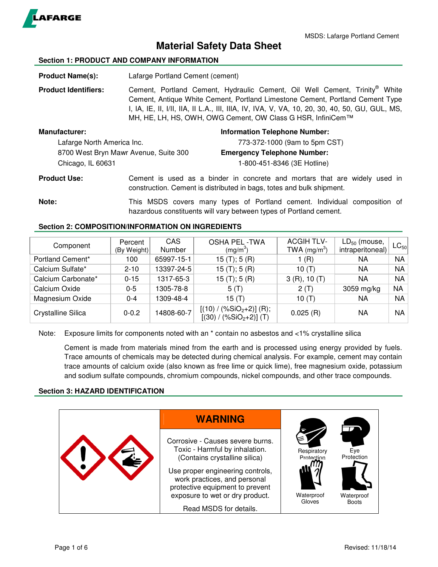

# **Material Safety Data Sheet**

### **Section 1: PRODUCT AND COMPANY INFORMATION**

**Product Name(s):** Lafarge Portland Cement (cement)

Product Identifiers: Cement, Portland Cement, Hydraulic Cement, Oil Well Cement, Trinity® White Cement, Antique White Cement, Portland Limestone Cement, Portland Cement Type I, IA, IE, II, I/II, IIA, II L.A., III, IIIA, IV, IVA, V, VA, 10, 20, 30, 40, 50, GU, GUL, MS, MH, HE, LH, HS, OWH, OWG Cement, OW Class G HSR, InfiniCem™

| Manufacturer:                         | <b>Information Telephone Number:</b> |
|---------------------------------------|--------------------------------------|
| Lafarge North America Inc.            | 773-372-1000 (9am to 5pm CST)        |
| 8700 West Bryn Mawr Avenue, Suite 300 | <b>Emergency Telephone Number:</b>   |
| Chicago, IL 60631                     | 1-800-451-8346 (3E Hotline)          |

**Product Use:** Cement is used as a binder in concrete and mortars that are widely used in construction. Cement is distributed in bags, totes and bulk shipment.

**Note:** This MSDS covers many types of Portland cement. Individual composition of hazardous constituents will vary between types of Portland cement.

### **Section 2: COMPOSITION/INFORMATION ON INGREDIENTS**

| Component          | Percent<br>(By Weight) | CAS<br>Number | <b>OSHA PEL -TWA</b><br>$(mg/m^3)$                      | <b>ACGIH TLV-</b><br>TWA $(mg/m3)$ | $LD_{50}$ (mouse,<br>intraperitoneal) | $\mathsf{LC}_{50} $ |
|--------------------|------------------------|---------------|---------------------------------------------------------|------------------------------------|---------------------------------------|---------------------|
| Portland Cement*   | 100                    | 65997-15-1    | 15(T); 5(R)                                             | 1 (R)                              | ΝA                                    | <b>NA</b>           |
| Calcium Sulfate*   | $2 - 10$               | 13397-24-5    | 15(T); 5(R)                                             | 10(T)                              | NA                                    | NA                  |
| Calcium Carbonate* | $0 - 15$               | 1317-65-3     | 15(T); 5(R)                                             | 3(R), 10(T)                        | ΝA                                    | <b>NA</b>           |
| Calcium Oxide      | 0-5                    | 1305-78-8     | 5(T)                                                    | 2(T)                               | 3059 mg/kg                            | NA                  |
| Magnesium Oxide    | $0 - 4$                | 1309-48-4     | 15(T)                                                   | 10 $(T)$                           | ΝA                                    | <b>NA</b>           |
| Crystalline Silica | $0 - 0.2$              | 14808-60-7    | $[(10) / (\%SiO2+2)]$ (R);<br>$[(30) / (\%SiO2+2)]$ (T) | 0.025(R)                           | NA                                    | NA                  |

Note: Exposure limits for components noted with an \* contain no asbestos and <1% crystalline silica

Cement is made from materials mined from the earth and is processed using energy provided by fuels. Trace amounts of chemicals may be detected during chemical analysis. For example, cement may contain trace amounts of calcium oxide (also known as free lime or quick lime), free magnesium oxide, potassium and sodium sulfate compounds, chromium compounds, nickel compounds, and other trace compounds.

### **Section 3: HAZARD IDENTIFICATION**

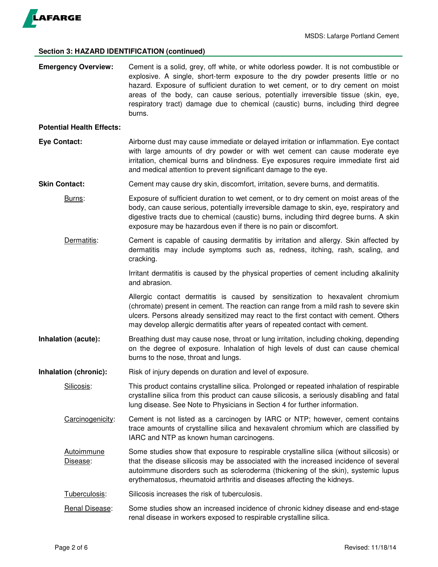

## **Section 3: HAZARD IDENTIFICATION (continued)**

| <b>Emergency Overview:</b>       | Cement is a solid, grey, off white, or white odorless powder. It is not combustible or<br>explosive. A single, short-term exposure to the dry powder presents little or no<br>hazard. Exposure of sufficient duration to wet cement, or to dry cement on moist<br>areas of the body, can cause serious, potentially irreversible tissue (skin, eye,<br>respiratory tract) damage due to chemical (caustic) burns, including third degree<br>burns. |
|----------------------------------|----------------------------------------------------------------------------------------------------------------------------------------------------------------------------------------------------------------------------------------------------------------------------------------------------------------------------------------------------------------------------------------------------------------------------------------------------|
| <b>Potential Health Effects:</b> |                                                                                                                                                                                                                                                                                                                                                                                                                                                    |
| <b>Eye Contact:</b>              | Airborne dust may cause immediate or delayed irritation or inflammation. Eye contact<br>with large amounts of dry powder or with wet cement can cause moderate eye<br>irritation, chemical burns and blindness. Eye exposures require immediate first aid<br>and medical attention to prevent significant damage to the eye.                                                                                                                       |
| <b>Skin Contact:</b>             | Cement may cause dry skin, discomfort, irritation, severe burns, and dermatitis.                                                                                                                                                                                                                                                                                                                                                                   |
| Burns:                           | Exposure of sufficient duration to wet cement, or to dry cement on moist areas of the<br>body, can cause serious, potentially irreversible damage to skin, eye, respiratory and<br>digestive tracts due to chemical (caustic) burns, including third degree burns. A skin<br>exposure may be hazardous even if there is no pain or discomfort.                                                                                                     |
| Dermatitis:                      | Cement is capable of causing dermatitis by irritation and allergy. Skin affected by<br>dermatitis may include symptoms such as, redness, itching, rash, scaling, and<br>cracking.                                                                                                                                                                                                                                                                  |
|                                  | Irritant dermatitis is caused by the physical properties of cement including alkalinity<br>and abrasion.                                                                                                                                                                                                                                                                                                                                           |
|                                  | Allergic contact dermatitis is caused by sensitization to hexavalent chromium<br>(chromate) present in cement. The reaction can range from a mild rash to severe skin<br>ulcers. Persons already sensitized may react to the first contact with cement. Others<br>may develop allergic dermatitis after years of repeated contact with cement.                                                                                                     |
| Inhalation (acute):              | Breathing dust may cause nose, throat or lung irritation, including choking, depending<br>on the degree of exposure. Inhalation of high levels of dust can cause chemical<br>burns to the nose, throat and lungs.                                                                                                                                                                                                                                  |
| Inhalation (chronic):            | Risk of injury depends on duration and level of exposure.                                                                                                                                                                                                                                                                                                                                                                                          |
| Silicosis:                       | This product contains crystalline silica. Prolonged or repeated inhalation of respirable<br>crystalline silica from this product can cause silicosis, a seriously disabling and fatal<br>lung disease. See Note to Physicians in Section 4 for further information.                                                                                                                                                                                |
| Carcinogenicity:                 | Cement is not listed as a carcinogen by IARC or NTP; however, cement contains<br>trace amounts of crystalline silica and hexavalent chromium which are classified by<br>IARC and NTP as known human carcinogens.                                                                                                                                                                                                                                   |
| <b>Autoimmune</b><br>Disease:    | Some studies show that exposure to respirable crystalline silica (without silicosis) or<br>that the disease silicosis may be associated with the increased incidence of several<br>autoimmune disorders such as scleroderma (thickening of the skin), systemic lupus<br>erythematosus, rheumatoid arthritis and diseases affecting the kidneys.                                                                                                    |
| Tuberculosis:                    | Silicosis increases the risk of tuberculosis.                                                                                                                                                                                                                                                                                                                                                                                                      |
| Renal Disease:                   | Some studies show an increased incidence of chronic kidney disease and end-stage<br>renal disease in workers exposed to respirable crystalline silica.                                                                                                                                                                                                                                                                                             |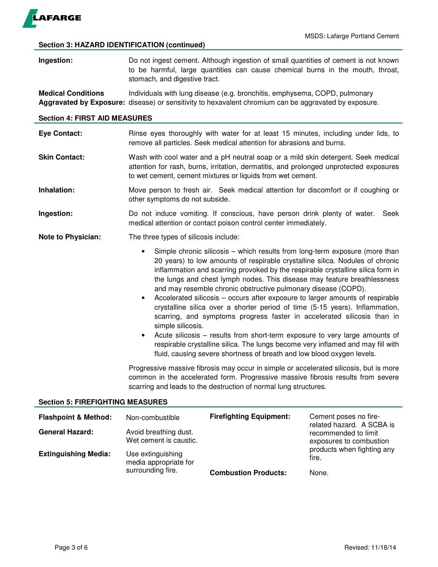

### **Section 3: HAZARD IDENTIFICATION (continued)**

| Ingestion: | Do not ingest cement. Although ingestion of small quantities of cement is not known |  |  |  |
|------------|-------------------------------------------------------------------------------------|--|--|--|
|            | to be harmful, large quantities can cause chemical burns in the mouth, throat,      |  |  |  |
|            | stomach, and digestive tract.                                                       |  |  |  |

**Medical Conditions** Individuals with lung disease (e.g. bronchitis, emphysema, COPD, pulmonary **Aggravated by Exposure:** disease) or sensitivity to hexavalent chromium can be aggravated by exposure.

### **Section 4: FIRST AID MEASURES**

| <b>Eye Contact:</b> | Rinse eyes thoroughly with water for at least 15 minutes, including under lids, to |  |
|---------------------|------------------------------------------------------------------------------------|--|
|                     | remove all particles. Seek medical attention for abrasions and burns.              |  |

- **Skin Contact:** Wash with cool water and a pH neutral soap or a mild skin detergent. Seek medical attention for rash, burns, irritation, dermatitis, and prolonged unprotected exposures to wet cement, cement mixtures or liquids from wet cement.
- **Inhalation:** Move person to fresh air. Seek medical attention for discomfort or if coughing or other symptoms do not subside.
- **Ingestion:** Do not induce vomiting. If conscious, have person drink plenty of water. Seek medical attention or contact poison control center immediately.
- **Note to Physician:** The three types of silicosis include:
	- Simple chronic silicosis which results from long-term exposure (more than 20 years) to low amounts of respirable crystalline silica. Nodules of chronic inflammation and scarring provoked by the respirable crystalline silica form in the lungs and chest lymph nodes. This disease may feature breathlessness and may resemble chronic obstructive pulmonary disease (COPD).
	- Accelerated silicosis occurs after exposure to larger amounts of respirable crystalline silica over a shorter period of time (5-15 years). Inflammation, scarring, and symptoms progress faster in accelerated silicosis than in simple silicosis.
	- Acute silicosis results from short-term exposure to very large amounts of respirable crystalline silica. The lungs become very inflamed and may fill with fluid, causing severe shortness of breath and low blood oxygen levels.

Progressive massive fibrosis may occur in simple or accelerated silicosis, but is more common in the accelerated form. Progressive massive fibrosis results from severe scarring and leads to the destruction of normal lung structures.

### **Section 5: FIREFIGHTING MEASURES**

| <b>Flashpoint &amp; Method:</b> | Non-combustible                                 | <b>Firefighting Equipment:</b> | Cement poses no fire-<br>related hazard. A SCBA is<br>recommended to limit<br>exposures to combustion<br>products when fighting any<br>fire. |
|---------------------------------|-------------------------------------------------|--------------------------------|----------------------------------------------------------------------------------------------------------------------------------------------|
| <b>General Hazard:</b>          | Avoid breathing dust.<br>Wet cement is caustic. |                                |                                                                                                                                              |
| <b>Extinguishing Media:</b>     | Use extinguishing<br>media appropriate for      |                                |                                                                                                                                              |
|                                 | surrounding fire.                               | <b>Combustion Products:</b>    | None.                                                                                                                                        |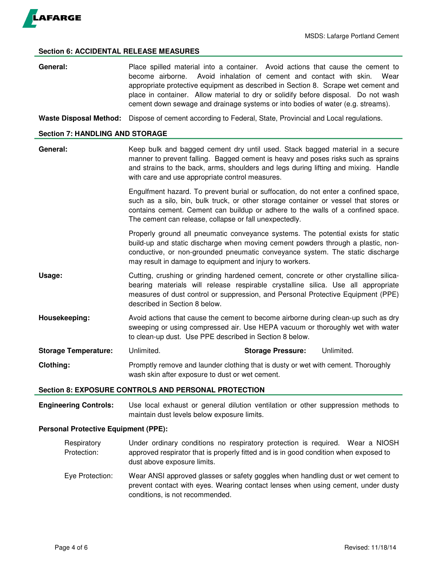

### **Section 6: ACCIDENTAL RELEASE MEASURES**

**General:** Place spilled material into a container. Avoid actions that cause the cement to become airborne. Avoid inhalation of cement and contact with skin. Wear appropriate protective equipment as described in Section 8. Scrape wet cement and place in container. Allow material to dry or solidify before disposal. Do not wash cement down sewage and drainage systems or into bodies of water (e.g. streams).

**Waste Disposal Method:** Dispose of cement according to Federal, State, Provincial and Local regulations.

### **Section 7: HANDLING AND STORAGE**

General: Keep bulk and bagged cement dry until used. Stack bagged material in a secure manner to prevent falling. Bagged cement is heavy and poses risks such as sprains and strains to the back, arms, shoulders and legs during lifting and mixing. Handle with care and use appropriate control measures.

> Engulfment hazard. To prevent burial or suffocation, do not enter a confined space, such as a silo, bin, bulk truck, or other storage container or vessel that stores or contains cement. Cement can buildup or adhere to the walls of a confined space. The cement can release, collapse or fall unexpectedly.

> Properly ground all pneumatic conveyance systems. The potential exists for static build-up and static discharge when moving cement powders through a plastic, nonconductive, or non-grounded pneumatic conveyance system. The static discharge may result in damage to equipment and injury to workers.

- **Usage: Cutting, crushing or grinding hardened cement, concrete or other crystalline silica**bearing materials will release respirable crystalline silica. Use all appropriate measures of dust control or suppression, and Personal Protective Equipment (PPE) described in Section 8 below.
- **Housekeeping:** Avoid actions that cause the cement to become airborne during clean-up such as dry sweeping or using compressed air. Use HEPA vacuum or thoroughly wet with water to clean-up dust. Use PPE described in Section 8 below.
- **Storage Temperature:** Unlimited. **Storage Pressure:** Unlimited.
- **Clothing:** Promptly remove and launder clothing that is dusty or wet with cement. Thoroughly wash skin after exposure to dust or wet cement.

### **Section 8: EXPOSURE CONTROLS AND PERSONAL PROTECTION**

**Engineering Controls:** Use local exhaust or general dilution ventilation or other suppression methods to maintain dust levels below exposure limits.

### **Personal Protective Equipment (PPE):**

- Respiratory Under ordinary conditions no respiratory protection is required. Wear a NIOSH Protection: approved respirator that is properly fitted and is in good condition when exposed to dust above exposure limits.
- Eye Protection: Wear ANSI approved glasses or safety goggles when handling dust or wet cement to prevent contact with eyes. Wearing contact lenses when using cement, under dusty conditions, is not recommended.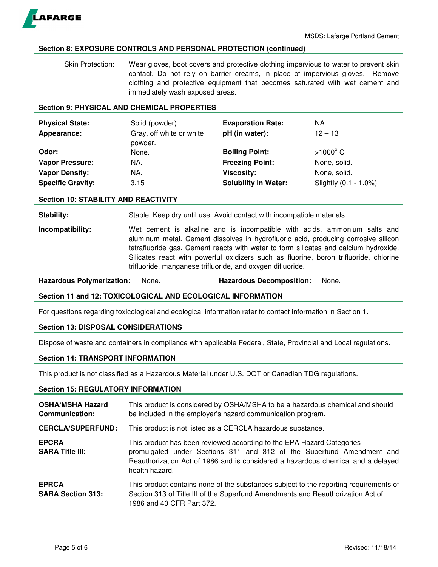

### **Section 8: EXPOSURE CONTROLS AND PERSONAL PROTECTION (continued)**

 Skin Protection: Wear gloves, boot covers and protective clothing impervious to water to prevent skin contact. Do not rely on barrier creams, in place of impervious gloves. Remove clothing and protective equipment that becomes saturated with wet cement and immediately wash exposed areas.

### **Section 9: PHYSICAL AND CHEMICAL PROPERTIES**

| <b>Physical State:</b><br>Appearance: | Solid (powder).<br>Gray, off white or white<br>powder. | <b>Evaporation Rate:</b><br>pH (in water): | NA.<br>$12 - 13$      |
|---------------------------------------|--------------------------------------------------------|--------------------------------------------|-----------------------|
| Odor:                                 | None.                                                  | <b>Boiling Point:</b>                      | $>1000^{\circ}$ C     |
| <b>Vapor Pressure:</b>                | NA.                                                    | <b>Freezing Point:</b>                     | None, solid.          |
| <b>Vapor Density:</b>                 | NA.                                                    | <b>Viscosity:</b>                          | None, solid.          |
| <b>Specific Gravity:</b>              | 3.15                                                   | <b>Solubility in Water:</b>                | Slightly (0.1 - 1.0%) |

### **Section 10: STABILITY AND REACTIVITY**

**Stability:** Stable. Keep dry until use. Avoid contact with incompatible materials.

**Incompatibility:** Wet cement is alkaline and is incompatible with acids, ammonium salts and aluminum metal. Cement dissolves in hydrofluoric acid, producing corrosive silicon tetrafluoride gas. Cement reacts with water to form silicates and calcium hydroxide. Silicates react with powerful oxidizers such as fluorine, boron trifluoride, chlorine trifluoride, manganese trifluoride, and oxygen difluoride.

**Hazardous Polymerization:** None. **Hazardous Decomposition:** None.

### **Section 11 and 12: TOXICOLOGICAL AND ECOLOGICAL INFORMATION**

For questions regarding toxicological and ecological information refer to contact information in Section 1.

### **Section 13: DISPOSAL CONSIDERATIONS**

Dispose of waste and containers in compliance with applicable Federal, State, Provincial and Local regulations.

### **Section 14: TRANSPORT INFORMATION**

This product is not classified as a Hazardous Material under U.S. DOT or Canadian TDG regulations.

### **Section 15: REGULATORY INFORMATION**

| <b>OSHA/MSHA Hazard</b><br><b>Communication:</b> | This product is considered by OSHA/MSHA to be a hazardous chemical and should<br>be included in the employer's hazard communication program.                                                                                                         |
|--------------------------------------------------|------------------------------------------------------------------------------------------------------------------------------------------------------------------------------------------------------------------------------------------------------|
| <b>CERCLA/SUPERFUND:</b>                         | This product is not listed as a CERCLA hazardous substance.                                                                                                                                                                                          |
| <b>EPCRA</b><br><b>SARA Title III:</b>           | This product has been reviewed according to the EPA Hazard Categories<br>promulgated under Sections 311 and 312 of the Superfund Amendment and<br>Reauthorization Act of 1986 and is considered a hazardous chemical and a delayed<br>health hazard. |
| <b>EPRCA</b><br><b>SARA Section 313:</b>         | This product contains none of the substances subject to the reporting requirements of<br>Section 313 of Title III of the Superfund Amendments and Reauthorization Act of<br>1986 and 40 CFR Part 372.                                                |